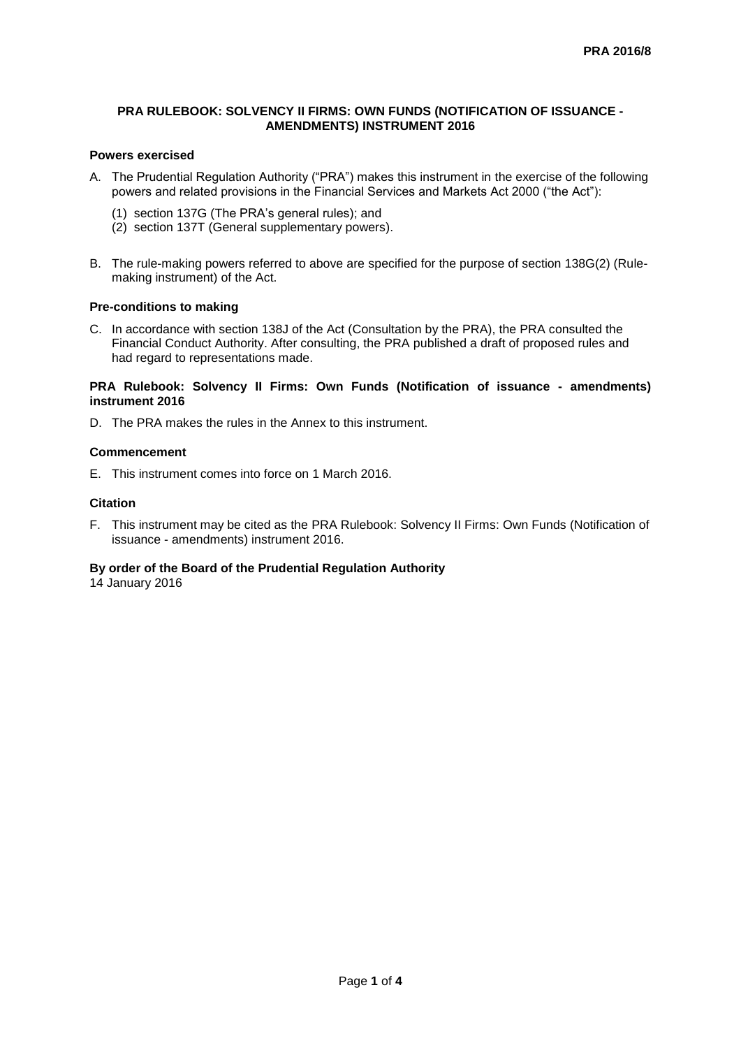## **PRA RULEBOOK: SOLVENCY II FIRMS: OWN FUNDS (NOTIFICATION OF ISSUANCE - AMENDMENTS) INSTRUMENT 2016**

# **Powers exercised**

- A. The Prudential Regulation Authority ("PRA") makes this instrument in the exercise of the following powers and related provisions in the Financial Services and Markets Act 2000 ("the Act"):
	- (1) section 137G (The PRA's general rules); and
	- (2) section 137T (General supplementary powers).
- B. The rule-making powers referred to above are specified for the purpose of section 138G(2) (Rulemaking instrument) of the Act.

#### **Pre-conditions to making**

C. In accordance with section 138J of the Act (Consultation by the PRA), the PRA consulted the Financial Conduct Authority. After consulting, the PRA published a draft of proposed rules and had regard to representations made.

#### **PRA Rulebook: Solvency II Firms: Own Funds (Notification of issuance - amendments) instrument 2016**

D. The PRA makes the rules in the Annex to this instrument.

## **Commencement**

E. This instrument comes into force on 1 March 2016.

#### **Citation**

F. This instrument may be cited as the PRA Rulebook: Solvency II Firms: Own Funds (Notification of issuance - amendments) instrument 2016.

# **By order of the Board of the Prudential Regulation Authority**

14 January 2016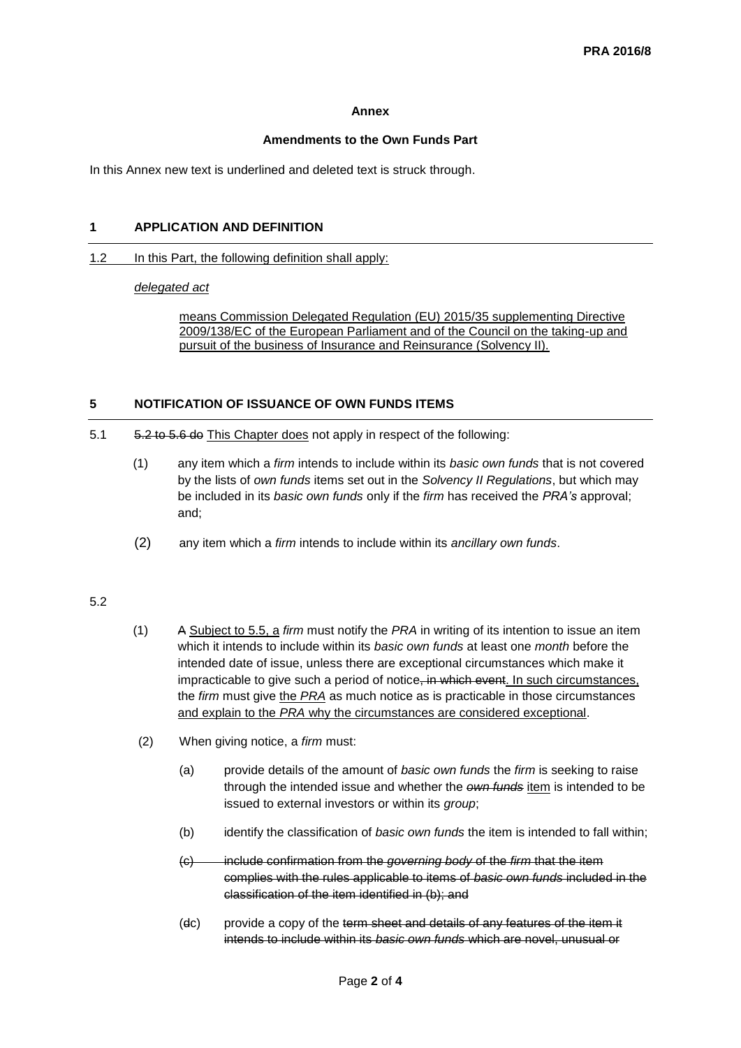#### **Annex**

## **Amendments to the Own Funds Part**

In this Annex new text is underlined and deleted text is struck through.

## **1 APPLICATION AND DEFINITION**

#### 1.2 In this Part, the following definition shall apply:

#### *delegated act*

means Commission Delegated Regulation (EU) 2015/35 supplementing Directive 2009/138/EC of the European Parliament and of the Council on the taking-up and pursuit of the business of Insurance and Reinsurance (Solvency II).

# **5 NOTIFICATION OF ISSUANCE OF OWN FUNDS ITEMS**

- 5.1 5.2 to 5.6 do This Chapter does not apply in respect of the following:
	- (1) any item which a *firm* intends to include within its *basic own funds* that is not covered by the lists of *own funds* items set out in the *Solvency II Regulations*, but which may be included in its *basic own funds* only if the *firm* has received the *PRA's* approval; and;
	- (2) any item which a *firm* intends to include within its *ancillary own funds*.

# 5.2

- (1) A Subject to 5.5, a *firm* must notify the *PRA* in writing of its intention to issue an item which it intends to include within its *basic own funds* at least one *month* before the intended date of issue, unless there are exceptional circumstances which make it impracticable to give such a period of notice, in which event. In such circumstances, the *firm* must give the *PRA* as much notice as is practicable in those circumstances and explain to the *PRA* why the circumstances are considered exceptional.
- (2) When giving notice, a *firm* must:
	- (a) provide details of the amount of *basic own funds* the *firm* is seeking to raise through the intended issue and whether the *own funds* item is intended to be issued to external investors or within its *group*;
	- (b) identify the classification of *basic own funds* the item is intended to fall within;
	- (c) include confirmation from the *governing body* of the *firm* that the item complies with the rules applicable to items of *basic own funds* included in the classification of the item identified in (b); and
	- (dc) provide a copy of the term sheet and details of any features of the item it intends to include within its *basic own funds* which are novel, unusual or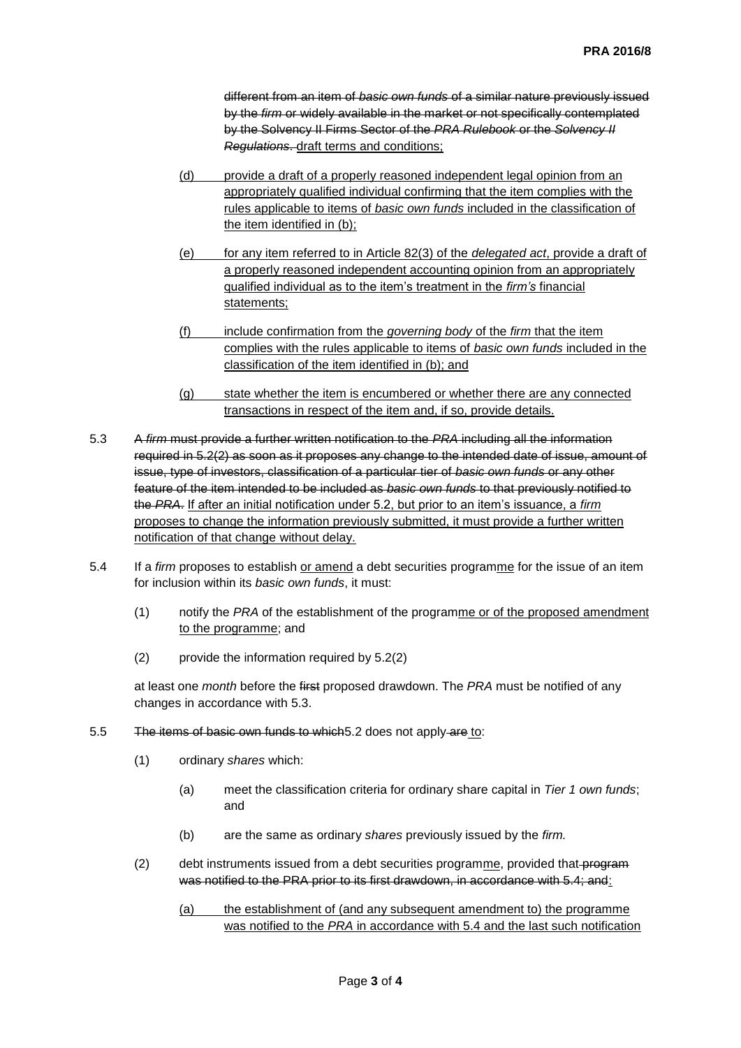different from an item of *basic own funds* of a similar nature previously issued by the *firm* or widely available in the market or not specifically contemplated by the Solvency II Firms Sector of the *PRA Rulebook* or the *Solvency II Regulations*. draft terms and conditions;

- (d) provide a draft of a properly reasoned independent legal opinion from an appropriately qualified individual confirming that the item complies with the rules applicable to items of *basic own funds* included in the classification of the item identified in (b);
- (e) for any item referred to in Article 82(3) of the *delegated act*, provide a draft of a properly reasoned independent accounting opinion from an appropriately qualified individual as to the item's treatment in the *firm's* financial statements;
- (f) include confirmation from the *governing body* of the *firm* that the item complies with the rules applicable to items of *basic own funds* included in the classification of the item identified in (b); and
- (g) state whether the item is encumbered or whether there are any connected transactions in respect of the item and, if so, provide details.
- 5.3 A *firm* must provide a further written notification to the *PRA* including all the information required in 5.2(2) as soon as it proposes any change to the intended date of issue, amount of issue, type of investors, classification of a particular tier of *basic own funds* or any other feature of the item intended to be included as *basic own funds* to that previously notified to the *PRA*. If after an initial notification under 5.2, but prior to an item's issuance, a *firm* proposes to change the information previously submitted, it must provide a further written notification of that change without delay.
- 5.4 If a *firm* proposes to establish or amend a debt securities programme for the issue of an item for inclusion within its *basic own funds*, it must:
	- (1) notify the *PRA* of the establishment of the programme or of the proposed amendment to the programme; and
	- (2) provide the information required by 5.2(2)

at least one *month* before the first proposed drawdown. The *PRA* must be notified of any changes in accordance with 5.3.

- 5.5 The items of basic own funds to which 5.2 does not apply are to:
	- (1) ordinary *shares* which:
		- (a) meet the classification criteria for ordinary share capital in *Tier 1 own funds*; and
		- (b) are the same as ordinary *shares* previously issued by the *firm.*
	- (2) debt instruments issued from a debt securities programme, provided that-program was notified to the PRA prior to its first drawdown, in accordance with 5.4; and:

(a) the establishment of (and any subsequent amendment to) the programme was notified to the *PRA* in accordance with 5.4 and the last such notification